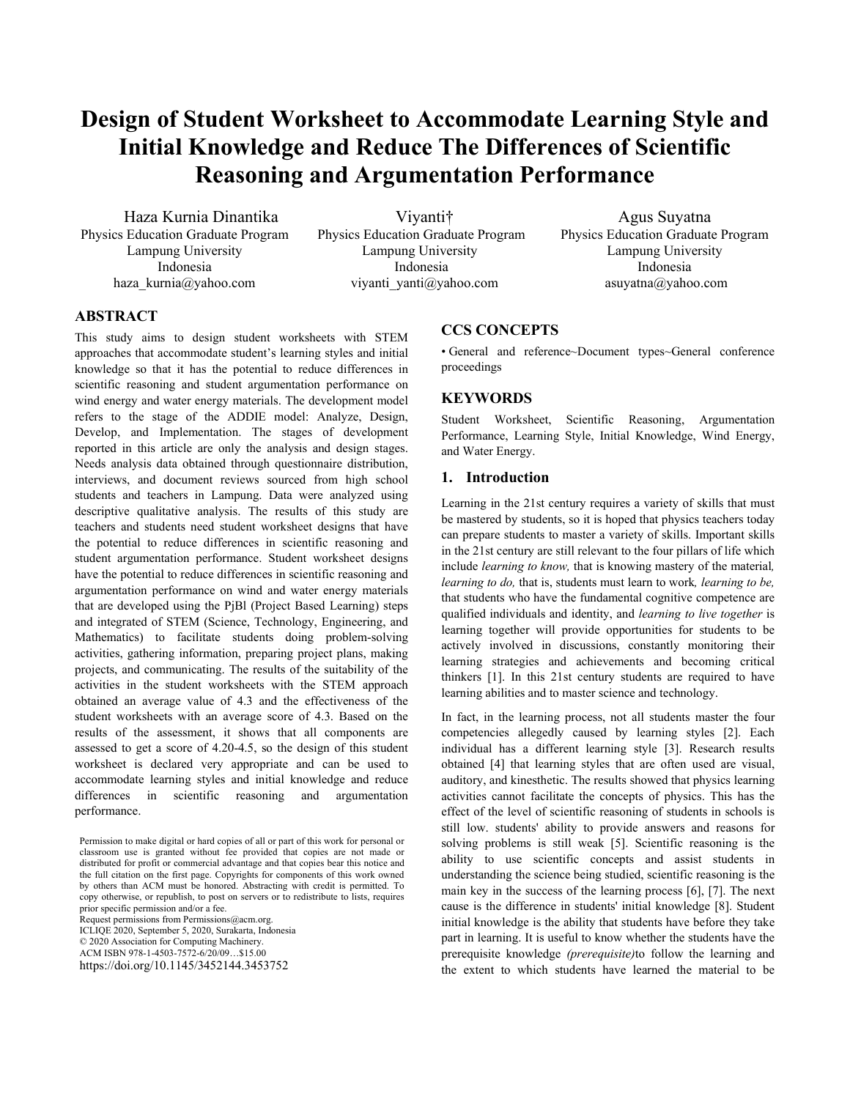# **Design of Student Worksheet to Accommodate Learning Style and Initial Knowledge and Reduce The Differences of Scientific Reasoning and Argumentation Performance**

Haza Kurnia Dinantika Physics Education Graduate Program Lampung University Indonesia haza\_kurnia@yahoo.com

Viyanti† Physics Education Graduate Program Lampung University Indonesia viyanti yanti@yahoo.com

Agus Suyatna Physics Education Graduate Program Lampung University Indonesia asuyatna@yahoo.com

## **ABSTRACT**

This study aims to design student worksheets with STEM approaches that accommodate student's learning styles and initial knowledge so that it has the potential to reduce differences in scientific reasoning and student argumentation performance on wind energy and water energy materials. The development model refers to the stage of the ADDIE model: Analyze, Design, Develop, and Implementation. The stages of development reported in this article are only the analysis and design stages. Needs analysis data obtained through questionnaire distribution, interviews, and document reviews sourced from high school students and teachers in Lampung. Data were analyzed using descriptive qualitative analysis. The results of this study are teachers and students need student worksheet designs that have the potential to reduce differences in scientific reasoning and student argumentation performance. Student worksheet designs have the potential to reduce differences in scientific reasoning and argumentation performance on wind and water energy materials that are developed using the PjBl (Project Based Learning) steps and integrated of STEM (Science, Technology, Engineering, and Mathematics) to facilitate students doing problem-solving activities, gathering information, preparing project plans, making projects, and communicating. The results of the suitability of the activities in the student worksheets with the STEM approach obtained an average value of 4.3 and the effectiveness of the student worksheets with an average score of 4.3. Based on the results of the assessment, it shows that all components are assessed to get a score of 4.20-4.5, so the design of this student worksheet is declared very appropriate and can be used to accommodate learning styles and initial knowledge and reduce differences in scientific reasoning and argumentation performance.

Request permissions from Permissions@acm.org. ICLIQE 2020, September 5, 2020, Surakarta, Indonesia © 2020 Association for Computing Machinery.

ACM ISBN 978-1-4503-7572-6/20/09…\$15.00

https://doi.org/10.1145/3452144.3453752

#### **CCS CONCEPTS**

• General and reference~Document types~General conference proceedings

## **KEYWORDS**

Student Worksheet, Scientific Reasoning, Argumentation Performance, Learning Style, Initial Knowledge, Wind Energy, and Water Energy.

## **1. Introduction**

Learning in the 21st century requires a variety of skills that must be mastered by students, so it is hoped that physics teachers today can prepare students to master a variety of skills. Important skills in the 21st century are still relevant to the four pillars of life which include *learning to know,* that is knowing mastery of the material*, learning to do,* that is, students must learn to work*, learning to be,*  that students who have the fundamental cognitive competence are qualified individuals and identity, and *learning to live together* is learning together will provide opportunities for students to be actively involved in discussions, constantly monitoring their learning strategies and achievements and becoming critical thinkers [1]. In this 21st century students are required to have learning abilities and to master science and technology.

In fact, in the learning process, not all students master the four competencies allegedly caused by learning styles [2]. Each individual has a different learning style [3]. Research results obtained [4] that learning styles that are often used are visual, auditory, and kinesthetic. The results showed that physics learning activities cannot facilitate the concepts of physics. This has the effect of the level of scientific reasoning of students in schools is still low. students' ability to provide answers and reasons for solving problems is still weak [5]. Scientific reasoning is the ability to use scientific concepts and assist students in understanding the science being studied, scientific reasoning is the main key in the success of the learning process [6], [7]. The next cause is the difference in students' initial knowledge [8]. Student initial knowledge is the ability that students have before they take part in learning. It is useful to know whether the students have the prerequisite knowledge *(prerequisite)*to follow the learning and the extent to which students have learned the material to be

Permission to make digital or hard copies of all or part of this work for personal or classroom use is granted without fee provided that copies are not made or distributed for profit or commercial advantage and that copies bear this notice and the full citation on the first page. Copyrights for components of this work owned by others than ACM must be honored. Abstracting with credit is permitted. To copy otherwise, or republish, to post on servers or to redistribute to lists, requires prior specific permission and/or a fee.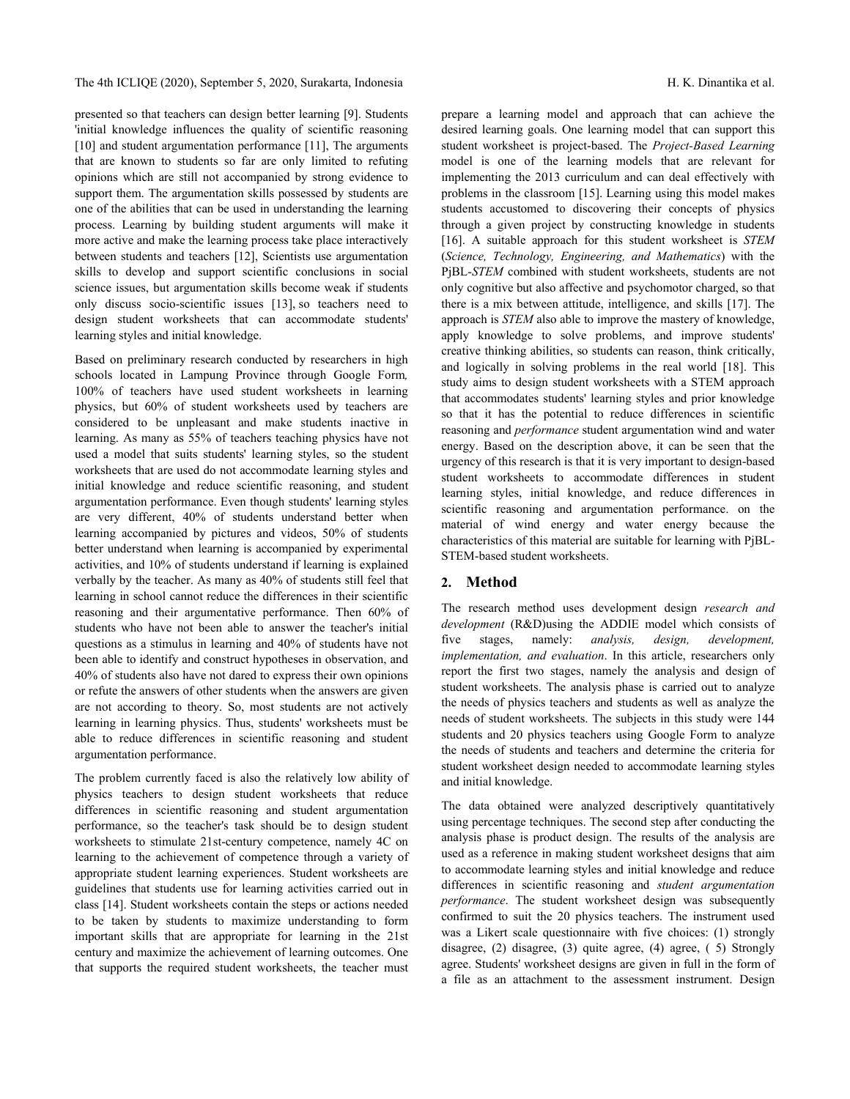The 4th ICLIQE (2020), September 5, 2020, Surakarta, Indonesia H. K. Dinantika et al.

presented so that teachers can design better learning [9]. Students 'initial knowledge influences the quality of scientific reasoning [10] and student argumentation performance [11], The arguments that are known to students so far are only limited to refuting opinions which are still not accompanied by strong evidence to support them. The argumentation skills possessed by students are one of the abilities that can be used in understanding the learning process. Learning by building student arguments will make it more active and make the learning process take place interactively between students and teachers [12], Scientists use argumentation skills to develop and support scientific conclusions in social science issues, but argumentation skills become weak if students only discuss socio-scientific issues [13], so teachers need to design student worksheets that can accommodate students' learning styles and initial knowledge.

Based on preliminary research conducted by researchers in high schools located in Lampung Province through Google Form*,* 100% of teachers have used student worksheets in learning physics, but 60% of student worksheets used by teachers are considered to be unpleasant and make students inactive in learning. As many as 55% of teachers teaching physics have not used a model that suits students' learning styles, so the student worksheets that are used do not accommodate learning styles and initial knowledge and reduce scientific reasoning, and student argumentation performance. Even though students' learning styles are very different, 40% of students understand better when learning accompanied by pictures and videos, 50% of students better understand when learning is accompanied by experimental activities, and 10% of students understand if learning is explained verbally by the teacher. As many as 40% of students still feel that learning in school cannot reduce the differences in their scientific reasoning and their argumentative performance. Then 60% of students who have not been able to answer the teacher's initial questions as a stimulus in learning and 40% of students have not been able to identify and construct hypotheses in observation, and 40% of students also have not dared to express their own opinions or refute the answers of other students when the answers are given are not according to theory. So, most students are not actively learning in learning physics. Thus, students' worksheets must be able to reduce differences in scientific reasoning and student argumentation performance.

The problem currently faced is also the relatively low ability of physics teachers to design student worksheets that reduce differences in scientific reasoning and student argumentation performance, so the teacher's task should be to design student worksheets to stimulate 21st-century competence, namely 4C on learning to the achievement of competence through a variety of appropriate student learning experiences. Student worksheets are guidelines that students use for learning activities carried out in class [14]. Student worksheets contain the steps or actions needed to be taken by students to maximize understanding to form important skills that are appropriate for learning in the 21st century and maximize the achievement of learning outcomes. One that supports the required student worksheets, the teacher must

prepare a learning model and approach that can achieve the desired learning goals. One learning model that can support this student worksheet is project-based. The *Project-Based Learning* model is one of the learning models that are relevant for implementing the 2013 curriculum and can deal effectively with problems in the classroom [15]. Learning using this model makes students accustomed to discovering their concepts of physics through a given project by constructing knowledge in students [16]. A suitable approach for this student worksheet is *STEM*  (*Science, Technology, Engineering, and Mathematics*) with the PjBL-*STEM* combined with student worksheets, students are not only cognitive but also affective and psychomotor charged, so that there is a mix between attitude, intelligence, and skills [17]. The approach is *STEM* also able to improve the mastery of knowledge, apply knowledge to solve problems, and improve students' creative thinking abilities, so students can reason, think critically, and logically in solving problems in the real world [18]. This study aims to design student worksheets with a STEM approach that accommodates students' learning styles and prior knowledge so that it has the potential to reduce differences in scientific reasoning and *performance* student argumentation wind and water energy. Based on the description above, it can be seen that the urgency of this research is that it is very important to design-based student worksheets to accommodate differences in student learning styles, initial knowledge, and reduce differences in scientific reasoning and argumentation performance. on the material of wind energy and water energy because the characteristics of this material are suitable for learning with PjBL-STEM-based student worksheets.

#### **2. Method**

The research method uses development design *research and development* (R&D)using the ADDIE model which consists of five stages, namely: *analysis, design, development, implementation, and evaluation*. In this article, researchers only report the first two stages, namely the analysis and design of student worksheets. The analysis phase is carried out to analyze the needs of physics teachers and students as well as analyze the needs of student worksheets. The subjects in this study were 144 students and 20 physics teachers using Google Form to analyze the needs of students and teachers and determine the criteria for student worksheet design needed to accommodate learning styles and initial knowledge.

The data obtained were analyzed descriptively quantitatively using percentage techniques. The second step after conducting the analysis phase is product design. The results of the analysis are used as a reference in making student worksheet designs that aim to accommodate learning styles and initial knowledge and reduce differences in scientific reasoning and *student argumentation performance*. The student worksheet design was subsequently confirmed to suit the 20 physics teachers. The instrument used was a Likert scale questionnaire with five choices: (1) strongly disagree, (2) disagree, (3) quite agree, (4) agree, ( 5) Strongly agree. Students' worksheet designs are given in full in the form of a file as an attachment to the assessment instrument. Design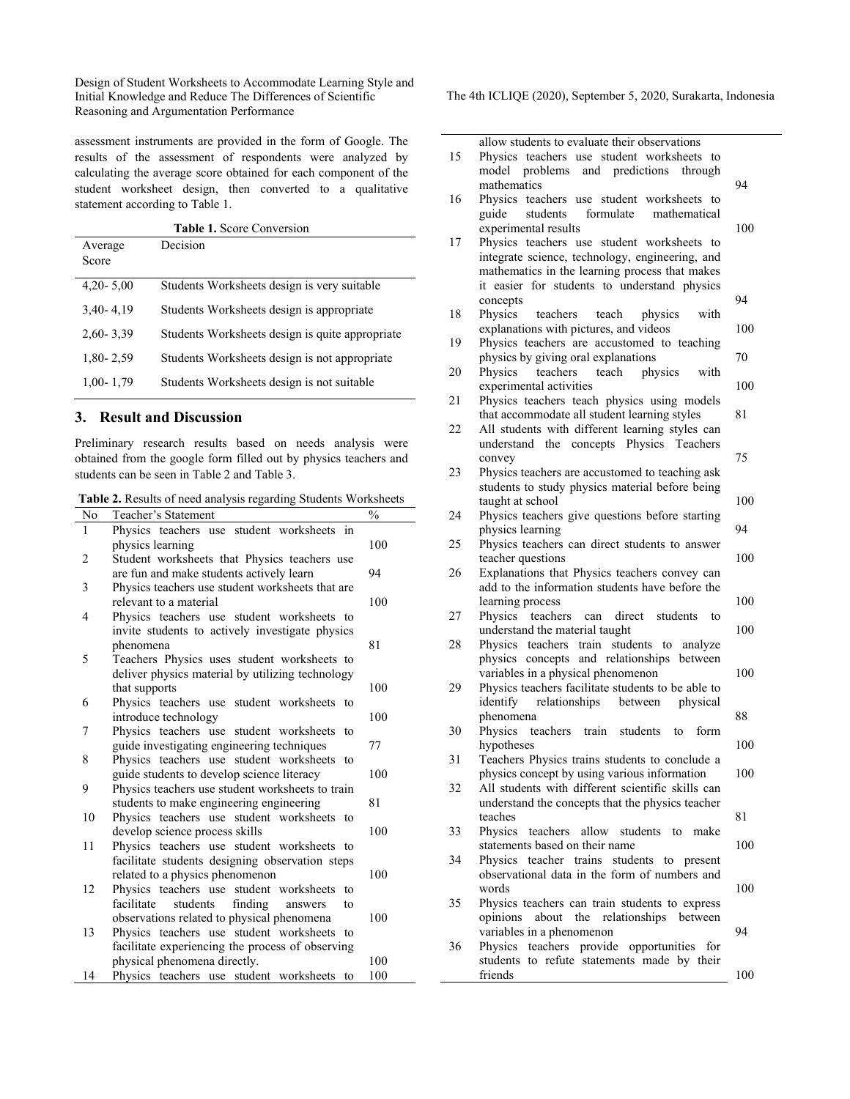Design of Student Worksheets to Accommodate Learning Style and Initial Knowledge and Reduce The Differences of Scientific Reasoning and Argumentation Performance

assessment instruments are provided in the form of Google. The results of the assessment of respondents were analyzed by calculating the average score obtained for each component of the student worksheet design, then converted to a qualitative statement according to Table 1.

| <b>Table 1. Score Conversion</b> |                                                 |  |
|----------------------------------|-------------------------------------------------|--|
| Average                          | Decision                                        |  |
| Score                            |                                                 |  |
| $4,20 - 5,00$                    | Students Worksheets design is very suitable     |  |
| $3,40-4,19$                      | Students Worksheets design is appropriate       |  |
| $2,60 - 3,39$                    | Students Worksheets design is quite appropriate |  |
| $1,80 - 2,59$                    | Students Worksheets design is not appropriate   |  |
| $1,00-1,79$                      | Students Worksheets design is not suitable      |  |

## **3. Result and Discussion**

Preliminary research results based on needs analysis were obtained from the google form filled out by physics teachers and students can be seen in Table 2 and Table 3.

| No             | Teacher's Statement                                | $\frac{0}{0}$ |
|----------------|----------------------------------------------------|---------------|
| 1              | Physics teachers use student worksheets<br>in      |               |
|                | physics learning                                   | 100           |
| $\overline{2}$ | Student worksheets that Physics teachers use       |               |
|                | are fun and make students actively learn           | 94            |
| 3              | Physics teachers use student worksheets that are   |               |
|                | relevant to a material                             | 100           |
| 4              | Physics teachers use student worksheets to         |               |
|                | invite students to actively investigate physics    |               |
|                | phenomena                                          | 81            |
| 5              | Teachers Physics uses student worksheets to        |               |
|                | deliver physics material by utilizing technology   |               |
|                | that supports                                      | 100           |
| 6              | Physics teachers use student worksheets to         |               |
|                | introduce technology                               | 100           |
| 7              | Physics teachers use student worksheets<br>to      |               |
|                | guide investigating engineering techniques         | 77            |
| 8              | Physics teachers use student worksheets<br>to      |               |
|                | guide students to develop science literacy         | 100           |
| 9              | Physics teachers use student worksheets to train   |               |
|                | students to make engineering engineering           | 81            |
| 10             | Physics teachers use student worksheets to         |               |
|                | develop science process skills                     | 100           |
| 11             | Physics teachers use student worksheets<br>to      |               |
|                | facilitate students designing observation steps    |               |
|                | related to a physics phenomenon                    | 100           |
| 12             | Physics teachers use student worksheets<br>to      |               |
|                | facilitate<br>students<br>finding<br>answers<br>to |               |
|                | observations related to physical phenomena         | 100           |
| 13             | Physics teachers use student worksheets<br>tο      |               |
|                | facilitate experiencing the process of observing   |               |
|                | physical phenomena directly.                       | 100           |
| 14             | Physics teachers use student worksheets to         | 100           |

**Table 2.** Results of need analysis regarding Students Worksheets

The 4th ICLIQE (2020), September 5, 2020, Surakarta, Indonesia

| 15 | allow students to evaluate their observations<br>Physics teachers use student worksheets<br>to            |     |
|----|-----------------------------------------------------------------------------------------------------------|-----|
|    | model<br>problems<br>and predictions<br>through                                                           |     |
| 16 | mathematics<br>Physics teachers use student worksheets to                                                 | 94  |
|    | students<br>formulate<br>guide<br>mathematical                                                            |     |
|    | experimental results                                                                                      | 100 |
| 17 | Physics teachers use student worksheets to<br>integrate science, technology, engineering, and             |     |
|    | mathematics in the learning process that makes                                                            |     |
|    | it easier for students to understand physics                                                              |     |
|    | concepts                                                                                                  | 94  |
| 18 | teach<br>Physics<br>teachers<br>physics<br>with<br>explanations with pictures, and videos                 | 100 |
| 19 | Physics teachers are accustomed to teaching                                                               |     |
|    | physics by giving oral explanations                                                                       | 70  |
| 20 | teachers<br>teach<br>Physics<br>physics<br>with                                                           |     |
| 21 | experimental activities                                                                                   | 100 |
|    | Physics teachers teach physics using models<br>that accommodate all student learning styles               | 81  |
| 22 | All students with different learning styles can                                                           |     |
|    | understand the concepts Physics Teachers                                                                  |     |
|    | convey                                                                                                    | 75  |
| 23 | Physics teachers are accustomed to teaching ask<br>students to study physics material before being        |     |
|    | taught at school                                                                                          | 100 |
| 24 | Physics teachers give questions before starting                                                           |     |
| 25 | physics learning<br>Physics teachers can direct students to answer                                        | 94  |
|    | teacher questions                                                                                         | 100 |
| 26 | Explanations that Physics teachers convey can                                                             |     |
|    | add to the information students have before the                                                           |     |
| 27 | learning process<br>teachers<br>direct<br>students<br>Physics<br>can<br>to                                | 100 |
|    | understand the material taught                                                                            | 100 |
| 28 | Physics teachers train students<br>to<br>analyze                                                          |     |
|    | physics concepts and relationships<br>between                                                             |     |
| 29 | variables in a physical phenomenon<br>Physics teachers facilitate students to be able to                  | 100 |
|    | identify<br>relationships<br>between<br>physical                                                          |     |
|    | phenomena                                                                                                 | 88  |
| 30 | Physics<br>teachers<br>train students<br>form<br>to                                                       |     |
| 31 | hypotheses<br>Teachers Physics trains students to conclude a                                              | 100 |
|    | physics concept by using various information                                                              | 100 |
| 32 | All students with different scientific skills can                                                         |     |
|    | understand the concepts that the physics teacher<br>teaches                                               | 81  |
| 33 | Physics<br>allow students<br>teachers<br>to<br>make                                                       |     |
|    | statements based on their name                                                                            | 100 |
| 34 | Physics teacher trains students to present                                                                |     |
|    | observational data in the form of numbers and<br>words                                                    | 100 |
| 35 | Physics teachers can train students to express                                                            |     |
|    | about the relationships between<br>opinions                                                               |     |
|    | variables in a phenomenon                                                                                 | 94  |
| 36 | teachers<br>provide opportunities<br><b>Physics</b><br>for<br>students to refute statements made by their |     |
|    | friends                                                                                                   | 100 |
|    |                                                                                                           |     |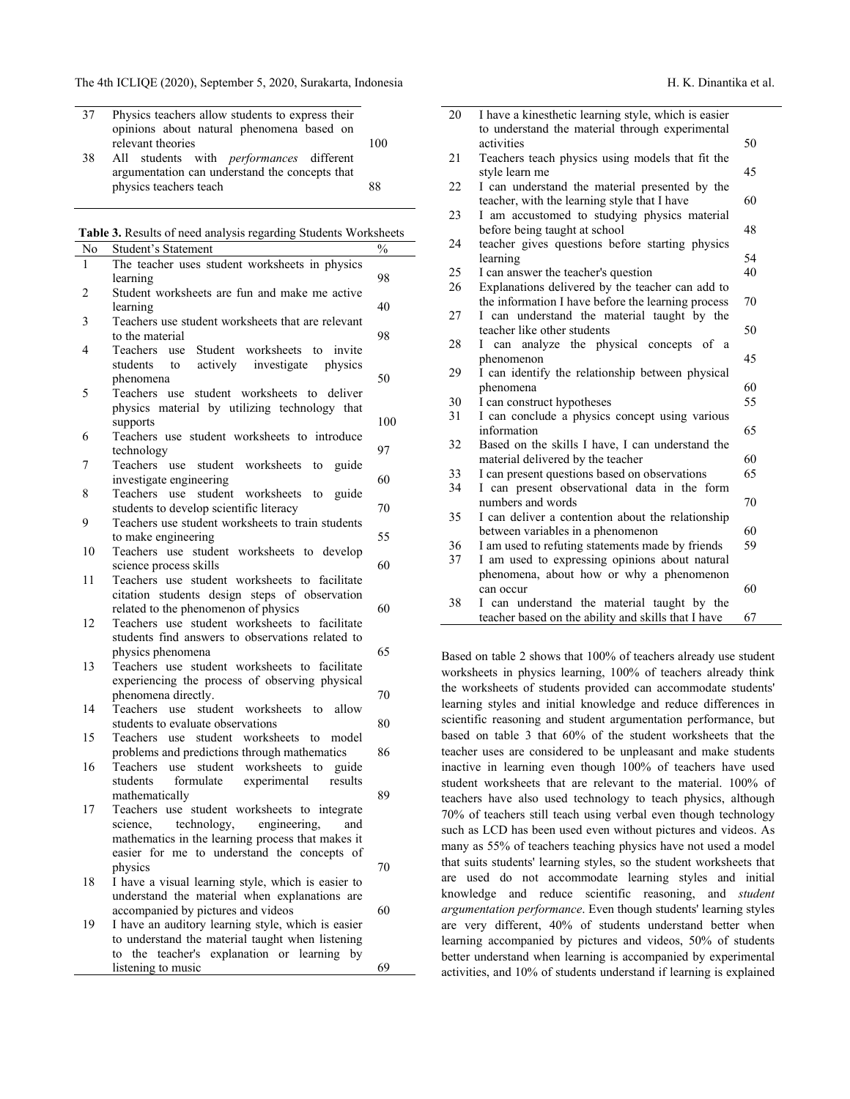The 4th ICLIQE (2020), September 5, 2020, Surakarta, Indonesia H. K. Dinantika et al.

| 37 | Physics teachers allow students to express their |  |
|----|--------------------------------------------------|--|
|    | opinions about natural phenomena based on        |  |
|    | relevant theories                                |  |
| 38 | All students with <i>performances</i> different  |  |
|    | argumentation can understand the concepts that   |  |
|    | physics teachers teach                           |  |

**Table 3.** Results of need analysis regarding Students Worksheets

|                | <b>rable 3.</b> Results of need analysis regarding Students worksheets                   |               |
|----------------|------------------------------------------------------------------------------------------|---------------|
| No             | <b>Student's Statement</b>                                                               | $\frac{0}{0}$ |
| 1              | The teacher uses student worksheets in physics                                           |               |
|                | learning                                                                                 | 98            |
| $\overline{c}$ | Student worksheets are fun and make me active                                            |               |
|                | learning                                                                                 | 40            |
| 3              | Teachers use student worksheets that are relevant                                        |               |
|                | to the material                                                                          | 98            |
| 4              | Student worksheets to<br>Teachers<br>use<br>invite                                       |               |
|                | actively<br>students<br>investigate<br>physics<br>to                                     |               |
|                | phenomena                                                                                | 50            |
| 5              | Teachers<br>student worksheets to<br>use<br>deliver                                      |               |
|                | physics material by utilizing technology that                                            |               |
|                | supports                                                                                 | 100           |
| 6              | Teachers use student worksheets to introduce                                             |               |
|                | technology                                                                               | 97            |
| 7              | student worksheets<br>Teachers<br>use<br>to<br>guide                                     |               |
|                | investigate engineering                                                                  | 60            |
| 8              | Teachers use<br>student worksheets<br>to<br>guide                                        |               |
|                | students to develop scientific literacy                                                  | 70            |
| 9              | Teachers use student worksheets to train students                                        |               |
|                | to make engineering                                                                      | 55            |
| 10             | Teachers use student worksheets to develop                                               |               |
|                | science process skills                                                                   | 60            |
| 11             | Teachers use student worksheets to facilitate                                            |               |
|                | citation students design steps of observation                                            |               |
|                | related to the phenomenon of physics                                                     | 60            |
| 12             | Teachers use student worksheets to facilitate                                            |               |
|                | students find answers to observations related to                                         |               |
|                | physics phenomena                                                                        | 65            |
| 13             | Teachers use student worksheets to facilitate                                            |               |
|                |                                                                                          |               |
|                | experiencing the process of observing physical                                           | 70            |
| 14             | phenomena directly.<br><b>Teachers</b><br>use<br>student<br>worksheets<br>to<br>allow    |               |
|                | students to evaluate observations                                                        | 80            |
|                | model                                                                                    |               |
| 15             | Teachers use student worksheets<br>to                                                    | 86            |
| 16             | problems and predictions through mathematics<br>student worksheets to<br>Teachers<br>use |               |
|                | guide<br>experimental<br>students<br>formulate                                           |               |
|                | results                                                                                  | 89            |
| 17             | mathematically<br>Teachers use student worksheets to integrate                           |               |
|                |                                                                                          |               |
|                | science,<br>technology,<br>engineering,<br>and                                           |               |
|                | mathematics in the learning process that makes it                                        |               |
|                | easier for me to understand the concepts of                                              |               |
|                | physics                                                                                  | 70            |
| 18             | I have a visual learning style, which is easier to                                       |               |
|                | understand the material when explanations are                                            |               |
|                | accompanied by pictures and videos                                                       | 60            |
| 19             | I have an auditory learning style, which is easier                                       |               |
|                | to understand the material taught when listening                                         |               |
|                | the teacher's explanation or learning by<br>to                                           |               |
|                | listening to music                                                                       | 69            |

| 20 | I have a kinesthetic learning style, which is easier |    |
|----|------------------------------------------------------|----|
|    | to understand the material through experimental      |    |
|    | activities                                           | 50 |
| 21 | Teachers teach physics using models that fit the     |    |
|    | style learn me                                       | 45 |
| 22 | I can understand the material presented by the       |    |
|    | teacher, with the learning style that I have         | 60 |
| 23 | I am accustomed to studying physics material         |    |
|    | before being taught at school                        | 48 |
| 24 | teacher gives questions before starting physics      |    |
|    | learning                                             | 54 |
| 25 | I can answer the teacher's question                  | 40 |
| 26 | Explanations delivered by the teacher can add to     |    |
|    | the information I have before the learning process   | 70 |
| 27 | I can understand the material taught by the          |    |
|    | teacher like other students                          | 50 |
| 28 | I can analyze the physical concepts of a             |    |
|    | phenomenon                                           | 45 |
| 29 | I can identify the relationship between physical     |    |
|    | phenomena                                            | 60 |
| 30 | I can construct hypotheses                           | 55 |
| 31 | I can conclude a physics concept using various       |    |
|    | information                                          | 65 |
| 32 | Based on the skills I have, I can understand the     |    |
|    | material delivered by the teacher                    | 60 |
| 33 | I can present questions based on observations        | 65 |
| 34 | I can present observational data in the form         |    |
|    | numbers and words                                    | 70 |
| 35 | I can deliver a contention about the relationship    |    |
|    | between variables in a phenomenon                    | 60 |
| 36 | I am used to refuting statements made by friends     | 59 |
| 37 | I am used to expressing opinions about natural       |    |
|    | phenomena, about how or why a phenomenon             |    |
|    | can occur                                            | 60 |
| 38 | can understand the material taught by the<br>L       |    |
|    | teacher based on the ability and skills that I have  | 67 |

Based on table 2 shows that 100% of teachers already use student worksheets in physics learning, 100% of teachers already think the worksheets of students provided can accommodate students' learning styles and initial knowledge and reduce differences in scientific reasoning and student argumentation performance, but based on table 3 that 60% of the student worksheets that the teacher uses are considered to be unpleasant and make students inactive in learning even though 100% of teachers have used student worksheets that are relevant to the material. 100% of teachers have also used technology to teach physics, although 70% of teachers still teach using verbal even though technology such as LCD has been used even without pictures and videos. As many as 55% of teachers teaching physics have not used a model that suits students' learning styles, so the student worksheets that are used do not accommodate learning styles and initial knowledge and reduce scientific reasoning, and *student argumentation performance*. Even though students' learning styles are very different, 40% of students understand better when learning accompanied by pictures and videos, 50% of students better understand when learning is accompanied by experimental activities, and 10% of students understand if learning is explained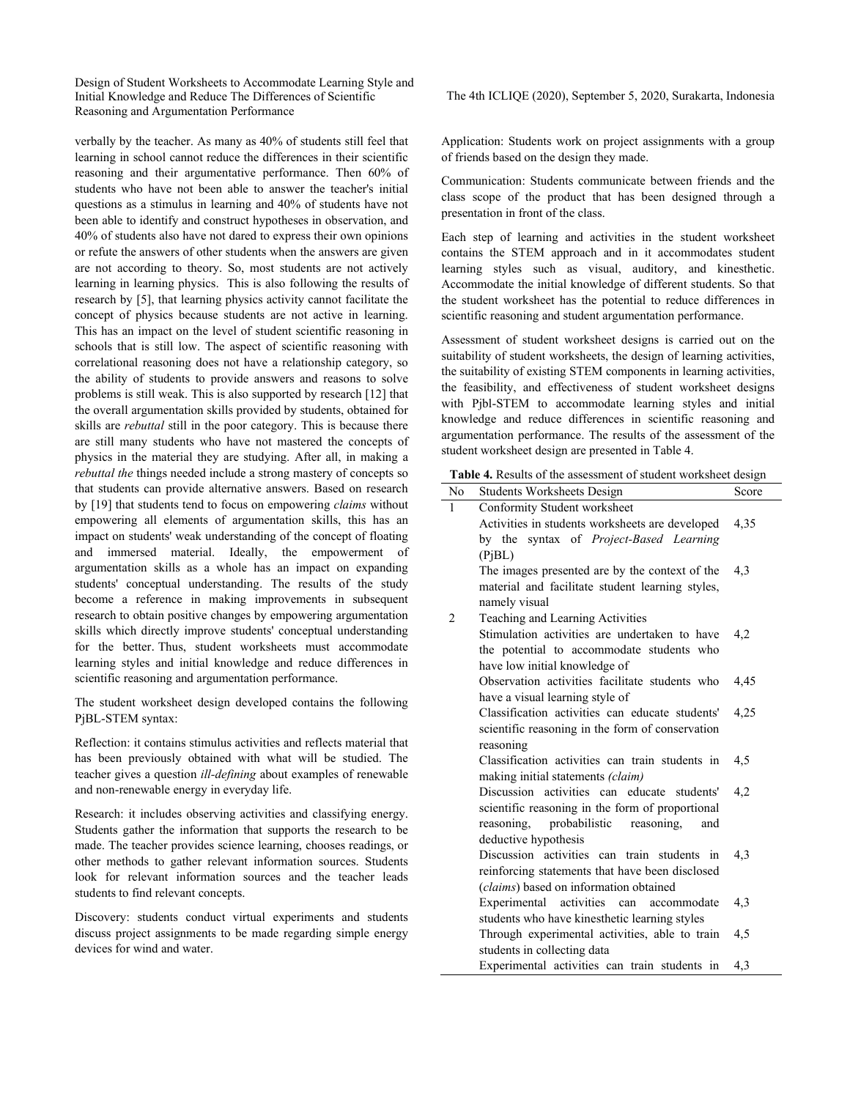Design of Student Worksheets to Accommodate Learning Style and Initial Knowledge and Reduce The Differences of Scientific Reasoning and Argumentation Performance

verbally by the teacher. As many as 40% of students still feel that learning in school cannot reduce the differences in their scientific reasoning and their argumentative performance. Then 60% of students who have not been able to answer the teacher's initial questions as a stimulus in learning and 40% of students have not been able to identify and construct hypotheses in observation, and 40% of students also have not dared to express their own opinions or refute the answers of other students when the answers are given are not according to theory. So, most students are not actively learning in learning physics. This is also following the results of research by [5], that learning physics activity cannot facilitate the concept of physics because students are not active in learning. This has an impact on the level of student scientific reasoning in schools that is still low. The aspect of scientific reasoning with correlational reasoning does not have a relationship category, so the ability of students to provide answers and reasons to solve problems is still weak. This is also supported by research [12] that the overall argumentation skills provided by students, obtained for skills are *rebuttal* still in the poor category. This is because there are still many students who have not mastered the concepts of physics in the material they are studying. After all, in making a *rebuttal the* things needed include a strong mastery of concepts so that students can provide alternative answers. Based on research by [19] that students tend to focus on empowering *claims* without empowering all elements of argumentation skills, this has an impact on students' weak understanding of the concept of floating and immersed material. Ideally, the empowerment of argumentation skills as a whole has an impact on expanding students' conceptual understanding. The results of the study become a reference in making improvements in subsequent research to obtain positive changes by empowering argumentation skills which directly improve students' conceptual understanding for the better. Thus, student worksheets must accommodate learning styles and initial knowledge and reduce differences in scientific reasoning and argumentation performance.

The student worksheet design developed contains the following PjBL-STEM syntax:

Reflection: it contains stimulus activities and reflects material that has been previously obtained with what will be studied. The teacher gives a question *ill-defining* about examples of renewable and non-renewable energy in everyday life.

Research: it includes observing activities and classifying energy. Students gather the information that supports the research to be made. The teacher provides science learning, chooses readings, or other methods to gather relevant information sources. Students look for relevant information sources and the teacher leads students to find relevant concepts.

Discovery: students conduct virtual experiments and students discuss project assignments to be made regarding simple energy devices for wind and water.

The 4th ICLIQE (2020), September 5, 2020, Surakarta, Indonesia

Application: Students work on project assignments with a group of friends based on the design they made.

Communication: Students communicate between friends and the class scope of the product that has been designed through a presentation in front of the class.

Each step of learning and activities in the student worksheet contains the STEM approach and in it accommodates student learning styles such as visual, auditory, and kinesthetic. Accommodate the initial knowledge of different students. So that the student worksheet has the potential to reduce differences in scientific reasoning and student argumentation performance.

Assessment of student worksheet designs is carried out on the suitability of student worksheets, the design of learning activities, the suitability of existing STEM components in learning activities, the feasibility, and effectiveness of student worksheet designs with Pjbl-STEM to accommodate learning styles and initial knowledge and reduce differences in scientific reasoning and argumentation performance. The results of the assessment of the student worksheet design are presented in Table 4.

**Table 4.** Results of the assessment of student worksheet design

| No | <b>Students Worksheets Design</b>                         | Score |
|----|-----------------------------------------------------------|-------|
| 1  | Conformity Student worksheet                              |       |
|    | Activities in students worksheets are developed           | 4,35  |
|    | by the syntax of <i>Project-Based Learning</i>            |       |
|    | (PjBL)                                                    |       |
|    | The images presented are by the context of the            | 4,3   |
|    | material and facilitate student learning styles,          |       |
|    | namely visual                                             |       |
| 2  | Teaching and Learning Activities                          |       |
|    | Stimulation activities are undertaken to have             | 4.2   |
|    | the potential to accommodate students who                 |       |
|    | have low initial knowledge of                             |       |
|    | Observation activities facilitate students who            | 4,45  |
|    | have a visual learning style of                           |       |
|    | Classification activities can educate students'           | 4,25  |
|    | scientific reasoning in the form of conservation          |       |
|    | reasoning                                                 |       |
|    | Classification activities can train students in           | 4,5   |
|    | making initial statements (claim)                         |       |
|    | Discussion activities can educate students'               | 4.2   |
|    | scientific reasoning in the form of proportional          |       |
|    | probabilistic<br>reasoning,<br>reasoning,<br>and          |       |
|    | deductive hypothesis                                      |       |
|    | Discussion activities can train students<br>$\mathbf{in}$ | 4,3   |
|    | reinforcing statements that have been disclosed           |       |
|    | (claims) based on information obtained                    |       |
|    | Experimental activities can<br>accommodate                | 4,3   |
|    | students who have kinesthetic learning styles             |       |
|    | Through experimental activities, able to train            | 4,5   |
|    | students in collecting data                               |       |
|    | Experimental activities can train students in             | 4,3   |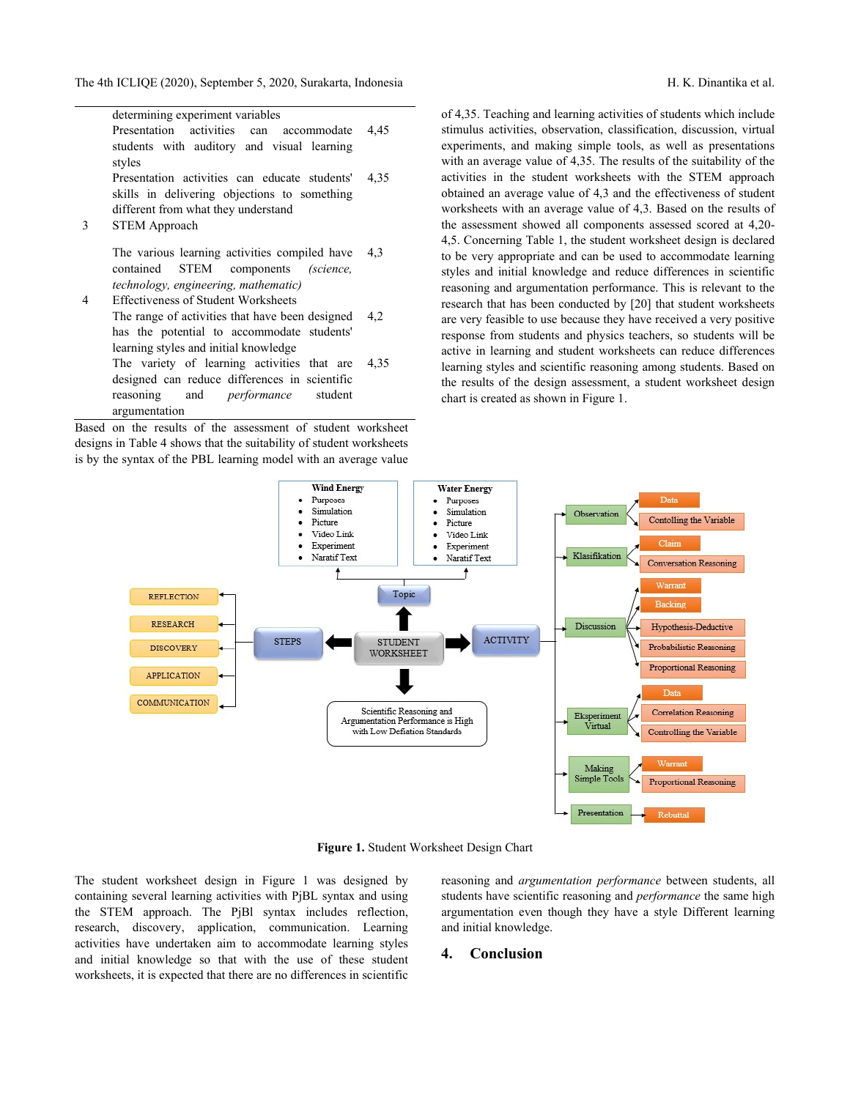The 4th ICLIQE (2020), September 5, 2020, Surakarta, Indonesia H. K. Dinantika et al.

|   | determining experiment variables                                                                                                                                                  |      |
|---|-----------------------------------------------------------------------------------------------------------------------------------------------------------------------------------|------|
|   | Presentation activities can accommodate<br>students with auditory and visual learning<br>styles                                                                                   | 4.45 |
|   | Presentation activities can educate students'<br>skills in delivering objections to something<br>different from what they understand                                              | 4,35 |
| 3 | <b>STEM Approach</b>                                                                                                                                                              |      |
| 4 | The various learning activities compiled have<br>contained STEM components (science,<br><i>technology, engineering, mathematic)</i><br><b>Effectiveness of Student Worksheets</b> | 4,3  |
|   | The range of activities that have been designed<br>has the potential to accommodate students'<br>learning styles and initial knowledge                                            | 4.2  |
|   | The variety of learning activities that are<br>designed can reduce differences in scientific<br>reasoning and <i>performance</i> student<br>argumentation                         | 4,35 |

Based on the results of the assessment of student worksheet designs in Table 4 shows that the suitability of student worksheets is by the syntax of the PBL learning model with an average value

of 4,35. Teaching and learning activities of students which include stimulus activities, observation, classification, discussion, virtual experiments, and making simple tools, as well as presentations with an average value of 4,35. The results of the suitability of the activities in the student worksheets with the STEM approach obtained an average value of 4,3 and the effectiveness of student worksheets with an average value of 4,3. Based on the results of the assessment showed all components assessed scored at 4,20- 4,5. Concerning Table 1, the student worksheet design is declared to be very appropriate and can be used to accommodate learning styles and initial knowledge and reduce differences in scientific reasoning and argumentation performance. This is relevant to the research that has been conducted by [20] that student worksheets are very feasible to use because they have received a very positive response from students and physics teachers, so students will be active in learning and student worksheets can reduce differences learning styles and scientific reasoning among students. Based on the results of the design assessment, a student worksheet design chart is created as shown in Figure 1.



**Figure 1.** Student Worksheet Design Chart

The student worksheet design in Figure 1 was designed by containing several learning activities with PjBL syntax and using the STEM approach. The PjBl syntax includes reflection, research, discovery, application, communication. Learning activities have undertaken aim to accommodate learning styles and initial knowledge so that with the use of these student worksheets, it is expected that there are no differences in scientific reasoning and *argumentation performance* between students, all students have scientific reasoning and *performance* the same high argumentation even though they have a style Different learning and initial knowledge.

### **4. Conclusion**